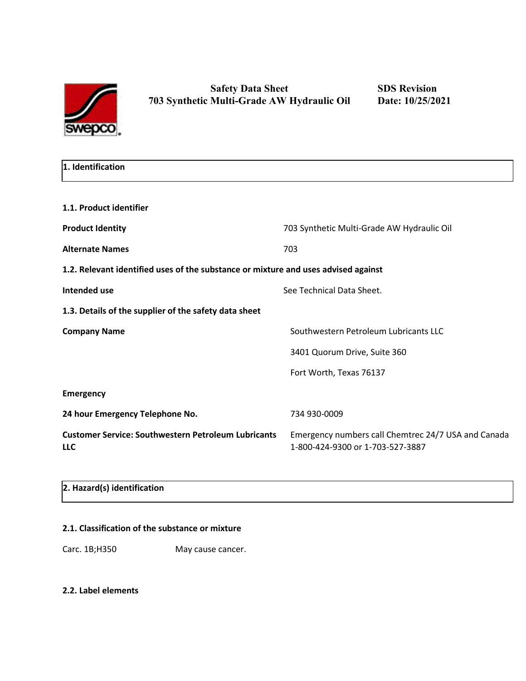

| 1. Identification |  |
|-------------------|--|
|                   |  |

| 1.1. Product identifier                                                            |                                                                                         |
|------------------------------------------------------------------------------------|-----------------------------------------------------------------------------------------|
| <b>Product Identity</b>                                                            | 703 Synthetic Multi-Grade AW Hydraulic Oil                                              |
| <b>Alternate Names</b>                                                             | 703                                                                                     |
| 1.2. Relevant identified uses of the substance or mixture and uses advised against |                                                                                         |
| Intended use                                                                       | See Technical Data Sheet.                                                               |
| 1.3. Details of the supplier of the safety data sheet                              |                                                                                         |
| <b>Company Name</b>                                                                | Southwestern Petroleum Lubricants LLC                                                   |
|                                                                                    | 3401 Quorum Drive, Suite 360                                                            |
|                                                                                    | Fort Worth, Texas 76137                                                                 |
| <b>Emergency</b>                                                                   |                                                                                         |
| 24 hour Emergency Telephone No.                                                    | 734 930-0009                                                                            |
| <b>Customer Service: Southwestern Petroleum Lubricants</b><br><b>LLC</b>           | Emergency numbers call Chemtrec 24/7 USA and Canada<br>1-800-424-9300 or 1-703-527-3887 |
|                                                                                    |                                                                                         |

# **2. Hazard(s) identification**

# **2.1. Classification of the substance or mixture**

Carc. 1B;H350 May cause cancer.

### **2.2. Label elements**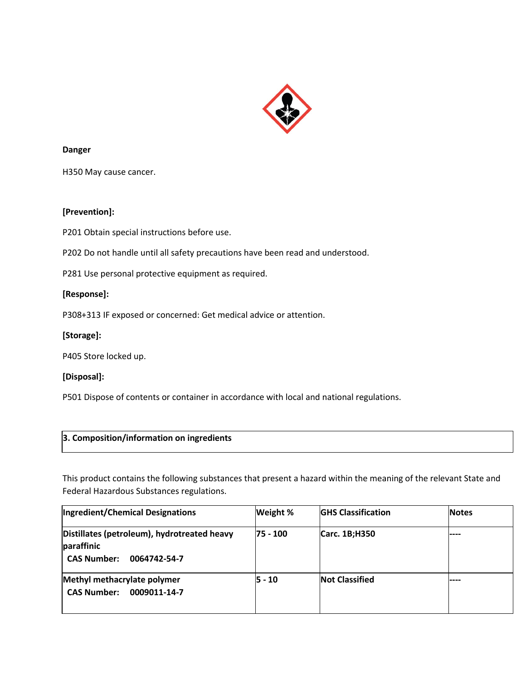

#### **Danger**

H350 May cause cancer.

### **[Prevention]:**

P201 Obtain special instructions before use.

P202 Do not handle until all safety precautions have been read and understood.

P281 Use personal protective equipment as required.

#### **[Response]:**

P308+313 IF exposed or concerned: Get medical advice or attention.

### **[Storage]:**

P405 Store locked up.

### **[Disposal]:**

P501 Dispose of contents or container in accordance with local and national regulations.

## **3. Composition/information on ingredients**

This product contains the following substances that present a hazard within the meaning of the relevant State and Federal Hazardous Substances regulations.

| Ingredient/Chemical Designations                                                                | Weight %   | <b>GHS Classification</b> | <b>Notes</b> |
|-------------------------------------------------------------------------------------------------|------------|---------------------------|--------------|
| Distillates (petroleum), hydrotreated heavy<br>paraffinic<br><b>CAS Number:</b><br>0064742-54-7 | 75 - 100   | Carc. 1B;H350             | ----         |
| Methyl methacrylate polymer<br><b>CAS Number:</b><br>0009011-14-7                               | $ 5 - 10 $ | <b>Not Classified</b>     | ----         |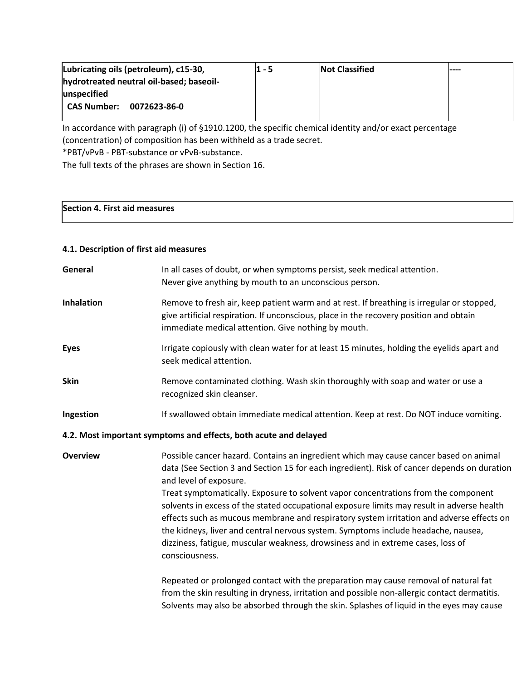| Lubricating oils (petroleum), c15-30,    | 1 - 5 | <b>Not Classified</b> | $---$ |
|------------------------------------------|-------|-----------------------|-------|
| hydrotreated neutral oil-based; baseoil- |       |                       |       |
| unspecified                              |       |                       |       |
| CAS Number:<br>0072623-86-0              |       |                       |       |
|                                          |       |                       |       |

In accordance with paragraph (i) of §1910.1200, the specific chemical identity and/or exact percentage (concentration) of composition has been withheld as a trade secret. \*PBT/vPvB - PBT-substance or vPvB-substance.

The full texts of the phrases are shown in Section 16.

# **Section 4. First aid measures**

# **4.1. Description of first aid measures**

| General           | In all cases of doubt, or when symptoms persist, seek medical attention.<br>Never give anything by mouth to an unconscious person.                                                                                                                                                                                                                                                                                                                                                                                                                                                                                                                                                       |
|-------------------|------------------------------------------------------------------------------------------------------------------------------------------------------------------------------------------------------------------------------------------------------------------------------------------------------------------------------------------------------------------------------------------------------------------------------------------------------------------------------------------------------------------------------------------------------------------------------------------------------------------------------------------------------------------------------------------|
| <b>Inhalation</b> | Remove to fresh air, keep patient warm and at rest. If breathing is irregular or stopped,<br>give artificial respiration. If unconscious, place in the recovery position and obtain<br>immediate medical attention. Give nothing by mouth.                                                                                                                                                                                                                                                                                                                                                                                                                                               |
| <b>Eyes</b>       | Irrigate copiously with clean water for at least 15 minutes, holding the eyelids apart and<br>seek medical attention.                                                                                                                                                                                                                                                                                                                                                                                                                                                                                                                                                                    |
| <b>Skin</b>       | Remove contaminated clothing. Wash skin thoroughly with soap and water or use a<br>recognized skin cleanser.                                                                                                                                                                                                                                                                                                                                                                                                                                                                                                                                                                             |
| Ingestion         | If swallowed obtain immediate medical attention. Keep at rest. Do NOT induce vomiting.                                                                                                                                                                                                                                                                                                                                                                                                                                                                                                                                                                                                   |
|                   | 4.2. Most important symptoms and effects, both acute and delayed                                                                                                                                                                                                                                                                                                                                                                                                                                                                                                                                                                                                                         |
| <b>Overview</b>   | Possible cancer hazard. Contains an ingredient which may cause cancer based on animal<br>data (See Section 3 and Section 15 for each ingredient). Risk of cancer depends on duration<br>and level of exposure.<br>Treat symptomatically. Exposure to solvent vapor concentrations from the component<br>solvents in excess of the stated occupational exposure limits may result in adverse health<br>effects such as mucous membrane and respiratory system irritation and adverse effects on<br>the kidneys, liver and central nervous system. Symptoms include headache, nausea,<br>dizziness, fatigue, muscular weakness, drowsiness and in extreme cases, loss of<br>consciousness. |
|                   | Repeated or prolonged contact with the preparation may cause removal of natural fat<br>from the skin resulting in dryness, irritation and possible non-allergic contact dermatitis.<br>Solvents may also be absorbed through the skin. Splashes of liquid in the eyes may cause                                                                                                                                                                                                                                                                                                                                                                                                          |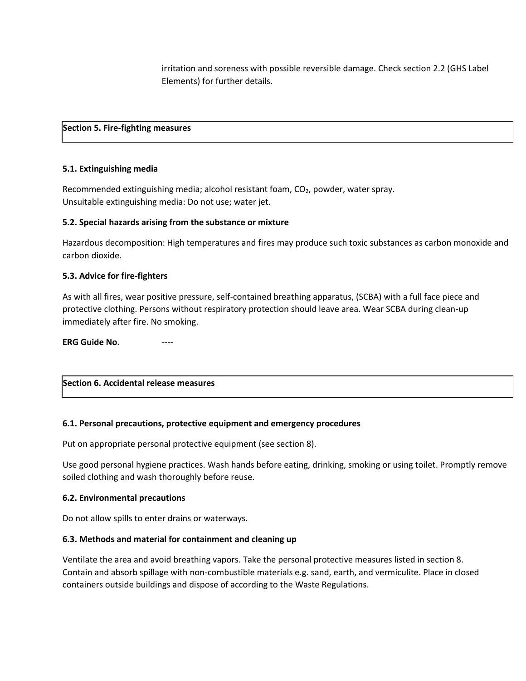irritation and soreness with possible reversible damage. Check section 2.2 (GHS Label Elements) for further details.

#### **Section 5. Fire-fighting measures**

#### **5.1. Extinguishing media**

Recommended extinguishing media; alcohol resistant foam, CO<sub>2</sub>, powder, water spray. Unsuitable extinguishing media: Do not use; water jet.

#### **5.2. Special hazards arising from the substance or mixture**

Hazardous decomposition: High temperatures and fires may produce such toxic substances as carbon monoxide and carbon dioxide.

#### **5.3. Advice for fire-fighters**

As with all fires, wear positive pressure, self-contained breathing apparatus, (SCBA) with a full face piece and protective clothing. Persons without respiratory protection should leave area. Wear SCBA during clean-up immediately after fire. No smoking.

**ERG Guide No.** 

# **Section 6. Accidental release measures**

### **6.1. Personal precautions, protective equipment and emergency procedures**

Put on appropriate personal protective equipment (see section 8).

Use good personal hygiene practices. Wash hands before eating, drinking, smoking or using toilet. Promptly remove soiled clothing and wash thoroughly before reuse.

#### **6.2. Environmental precautions**

Do not allow spills to enter drains or waterways.

### **6.3. Methods and material for containment and cleaning up**

Ventilate the area and avoid breathing vapors. Take the personal protective measures listed in section 8. Contain and absorb spillage with non-combustible materials e.g. sand, earth, and vermiculite. Place in closed containers outside buildings and dispose of according to the Waste Regulations.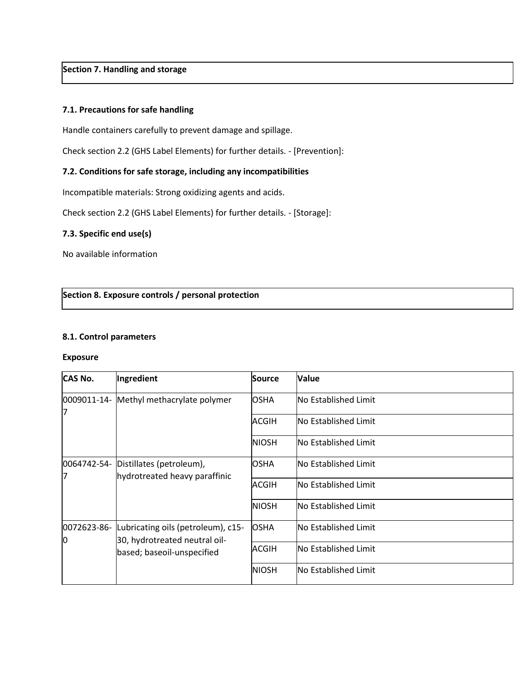## **Section 7. Handling and storage**

#### **7.1. Precautions for safe handling**

Handle containers carefully to prevent damage and spillage.

Check section 2.2 (GHS Label Elements) for further details. - [Prevention]:

#### **7.2. Conditions for safe storage, including any incompatibilities**

Incompatible materials: Strong oxidizing agents and acids.

Check section 2.2 (GHS Label Elements) for further details. - [Storage]:

#### **7.3. Specific end use(s)**

No available information

#### **Section 8. Exposure controls / personal protection**

#### **8.1. Control parameters**

#### **Exposure**

| <b>CAS No.</b> | Ingredient                                                  | Source       | <b>Value</b>                |
|----------------|-------------------------------------------------------------|--------------|-----------------------------|
| 0009011-14-    | Methyl methacrylate polymer                                 | <b>OSHA</b>  | No Established Limit        |
| 17             |                                                             | <b>ACGIH</b> | <b>No Established Limit</b> |
|                |                                                             | <b>NIOSH</b> | <b>No Established Limit</b> |
| 0064742-54-    | Distillates (petroleum),                                    | <b>OSHA</b>  | No Established Limit        |
| 7              | hydrotreated heavy paraffinic                               | <b>ACGIH</b> | <b>No Established Limit</b> |
|                |                                                             | <b>NIOSH</b> | <b>No Established Limit</b> |
| 0072623-86-    | Lubricating oils (petroleum), c15-                          | <b>OSHA</b>  | No Established Limit        |
| Ю              | 30, hydrotreated neutral oil-<br>based; baseoil-unspecified | ACGIH        | <b>No Established Limit</b> |
|                |                                                             | <b>NIOSH</b> | <b>No Established Limit</b> |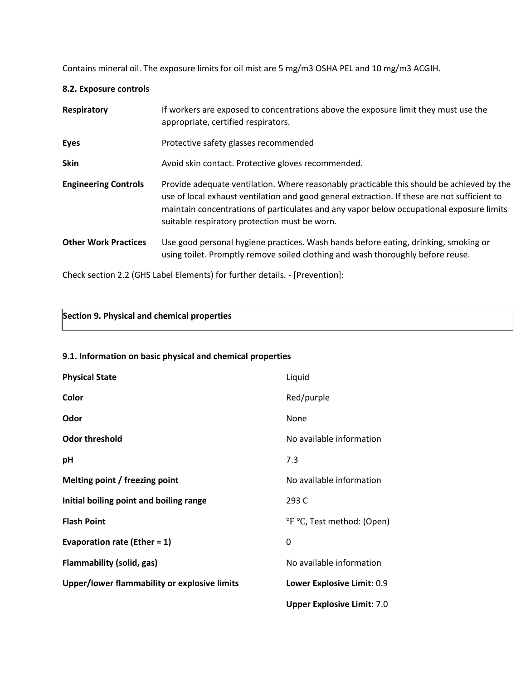Contains mineral oil. The exposure limits for oil mist are 5 mg/m3 OSHA PEL and 10 mg/m3 ACGIH.

#### **8.2. Exposure controls**

| Respiratory                 | If workers are exposed to concentrations above the exposure limit they must use the<br>appropriate, certified respirators.                                                                                                                                                                                                             |
|-----------------------------|----------------------------------------------------------------------------------------------------------------------------------------------------------------------------------------------------------------------------------------------------------------------------------------------------------------------------------------|
| <b>Eyes</b>                 | Protective safety glasses recommended                                                                                                                                                                                                                                                                                                  |
| <b>Skin</b>                 | Avoid skin contact. Protective gloves recommended.                                                                                                                                                                                                                                                                                     |
| <b>Engineering Controls</b> | Provide adequate ventilation. Where reasonably practicable this should be achieved by the<br>use of local exhaust ventilation and good general extraction. If these are not sufficient to<br>maintain concentrations of particulates and any vapor below occupational exposure limits<br>suitable respiratory protection must be worn. |
| <b>Other Work Practices</b> | Use good personal hygiene practices. Wash hands before eating, drinking, smoking or<br>using toilet. Promptly remove soiled clothing and wash thoroughly before reuse.                                                                                                                                                                 |

Check section 2.2 (GHS Label Elements) for further details. - [Prevention]:

| Section 9. Physical and chemical properties |  |
|---------------------------------------------|--|
|                                             |  |

### **9.1. Information on basic physical and chemical properties**

| <b>Physical State</b>                        | Liquid                            |
|----------------------------------------------|-----------------------------------|
| Color                                        | Red/purple                        |
| Odor                                         | None                              |
| <b>Odor threshold</b>                        | No available information          |
| рH                                           | 7.3                               |
| Melting point / freezing point               | No available information          |
| Initial boiling point and boiling range      | 293 C                             |
| <b>Flash Point</b>                           | °F °C, Test method: (Open)        |
| Evaporation rate (Ether = $1$ )              | 0                                 |
| Flammability (solid, gas)                    | No available information          |
| Upper/lower flammability or explosive limits | Lower Explosive Limit: 0.9        |
|                                              | <b>Upper Explosive Limit: 7.0</b> |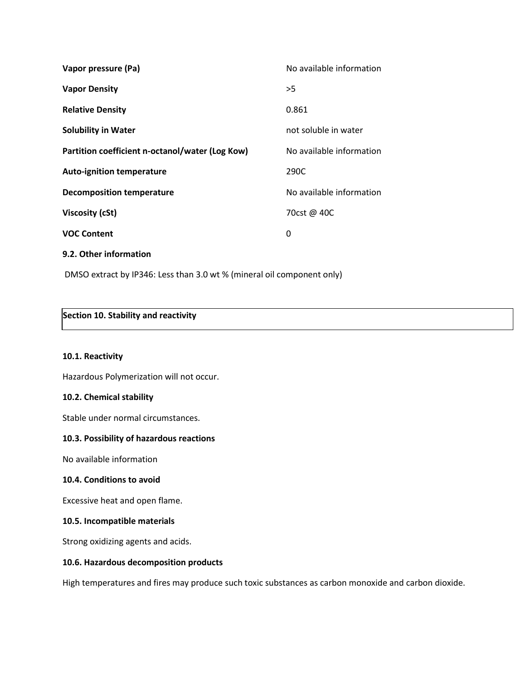| Vapor pressure (Pa)                             | No available information |
|-------------------------------------------------|--------------------------|
| <b>Vapor Density</b>                            | >5                       |
| <b>Relative Density</b>                         | 0.861                    |
| <b>Solubility in Water</b>                      | not soluble in water     |
| Partition coefficient n-octanol/water (Log Kow) | No available information |
| <b>Auto-ignition temperature</b>                | 290C                     |
| <b>Decomposition temperature</b>                | No available information |
| Viscosity (cSt)                                 | 70cst @ 40C              |
| <b>VOC Content</b>                              | 0                        |
| 9.2. Other information                          |                          |

DMSO extract by IP346: Less than 3.0 wt % (mineral oil component only)

# **Section 10. Stability and reactivity**

#### **10.1. Reactivity**

Hazardous Polymerization will not occur.

#### **10.2. Chemical stability**

Stable under normal circumstances.

### **10.3. Possibility of hazardous reactions**

No available information

#### **10.4. Conditions to avoid**

Excessive heat and open flame.

#### **10.5. Incompatible materials**

Strong oxidizing agents and acids.

#### **10.6. Hazardous decomposition products**

High temperatures and fires may produce such toxic substances as carbon monoxide and carbon dioxide.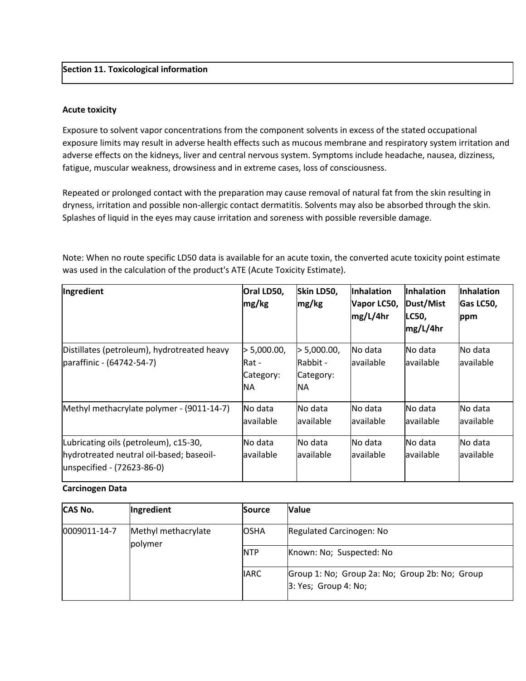#### **Section 11. Toxicological information**

#### **Acute toxicity**

Exposure to solvent vapor concentrations from the component solvents in excess of the stated occupational exposure limits may result in adverse health effects such as mucous membrane and respiratory system irritation and adverse effects on the kidneys, liver and central nervous system. Symptoms include headache, nausea, dizziness, fatigue, muscular weakness, drowsiness and in extreme cases, loss of consciousness.

Repeated or prolonged contact with the preparation may cause removal of natural fat from the skin resulting in dryness, irritation and possible non-allergic contact dermatitis. Solvents may also be absorbed through the skin. Splashes of liquid in the eyes may cause irritation and soreness with possible reversible damage.

Note: When no route specific LD50 data is available for an acute toxin, the converted acute toxicity point estimate was used in the calculation of the product's ATE (Acute Toxicity Estimate).

| Ingredient                                                                                                      | Oral LD50,<br>mg/kg                            | Skin LD50,<br>mg/kg                              | <b>Inhalation</b><br>Vapor LC50,<br>mg/L/4hr | <b>Inhalation</b><br>Dust/Mist<br>LC50,<br>mg/L/4hr | <b>Inhalation</b><br>Gas LC50,<br>ppm |
|-----------------------------------------------------------------------------------------------------------------|------------------------------------------------|--------------------------------------------------|----------------------------------------------|-----------------------------------------------------|---------------------------------------|
| Distillates (petroleum), hydrotreated heavy<br>paraffinic - (64742-54-7)                                        | > 5,000.00,<br>Rat -<br>Category:<br><b>NA</b> | 5,000.00,<br>lRabbit -<br>Category:<br><b>NA</b> | INo data<br>lavailable                       | No data<br>lavailable                               | No data<br>lavailable                 |
| Methyl methacrylate polymer - (9011-14-7)                                                                       | No data<br>available                           | lNo data<br>available                            | No data<br>lavailable                        | No data<br>lavailable                               | No data<br>available                  |
| Lubricating oils (petroleum), c15-30,<br>hydrotreated neutral oil-based; baseoil-<br>unspecified - (72623-86-0) | No data<br>lavailable                          | No data<br>lavailable                            | No data<br>lavailable                        | No data<br>lavailable                               | No data<br>lavailable                 |

#### **Carcinogen Data**

| <b>CAS No.</b> | Ingredient                      | <b>Source</b> | <b>Value</b>                                                            |
|----------------|---------------------------------|---------------|-------------------------------------------------------------------------|
| 10009011-14-7  | Methyl methacrylate<br> polymer | <b>OSHA</b>   | Regulated Carcinogen: No                                                |
|                |                                 | <b>NTP</b>    | Known: No; Suspected: No                                                |
|                |                                 | <b>IIARC</b>  | Group 1: No; Group 2a: No; Group 2b: No; Group<br> 3: Yes; Group 4: No; |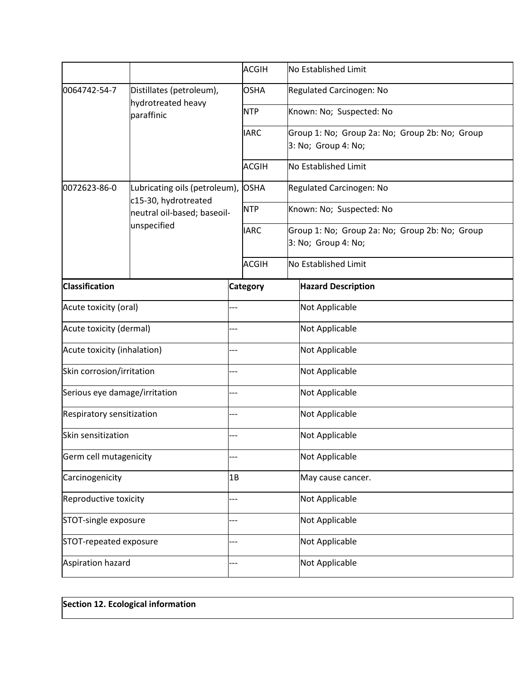|                               |                                                                                                          |     | <b>ACGIH</b>    |  | No Established Limit                                                       |  |  |
|-------------------------------|----------------------------------------------------------------------------------------------------------|-----|-----------------|--|----------------------------------------------------------------------------|--|--|
| 0064742-54-7                  | Distillates (petroleum),<br>hydrotreated heavy<br>paraffinic                                             |     | <b>OSHA</b>     |  | Regulated Carcinogen: No                                                   |  |  |
|                               |                                                                                                          |     | <b>NTP</b>      |  | Known: No; Suspected: No                                                   |  |  |
|                               |                                                                                                          |     | <b>IARC</b>     |  | Group 1: No; Group 2a: No; Group 2b: No; Group<br>3: No; Group 4: No;      |  |  |
|                               |                                                                                                          |     | <b>ACGIH</b>    |  | No Established Limit                                                       |  |  |
| 0072623-86-0                  | Lubricating oils (petroleum), OSHA<br>c15-30, hydrotreated<br>neutral oil-based; baseoil-<br>unspecified |     |                 |  | Regulated Carcinogen: No                                                   |  |  |
|                               |                                                                                                          |     | <b>NTP</b>      |  | Known: No; Suspected: No<br>Group 1: No; Group 2a: No; Group 2b: No; Group |  |  |
|                               |                                                                                                          |     | <b>IARC</b>     |  |                                                                            |  |  |
|                               |                                                                                                          |     |                 |  | 3: No; Group 4: No;                                                        |  |  |
|                               |                                                                                                          |     | <b>ACGIH</b>    |  | No Established Limit                                                       |  |  |
| <b>Classification</b>         |                                                                                                          |     | <b>Category</b> |  | <b>Hazard Description</b>                                                  |  |  |
| Acute toxicity (oral)         |                                                                                                          |     |                 |  | Not Applicable                                                             |  |  |
| Acute toxicity (dermal)       |                                                                                                          | --  |                 |  | Not Applicable                                                             |  |  |
| Acute toxicity (inhalation)   |                                                                                                          |     |                 |  | Not Applicable                                                             |  |  |
| Skin corrosion/irritation     |                                                                                                          | .   |                 |  | Not Applicable                                                             |  |  |
| Serious eye damage/irritation |                                                                                                          | --- |                 |  | Not Applicable                                                             |  |  |
| Respiratory sensitization     |                                                                                                          | --- |                 |  | Not Applicable                                                             |  |  |
| Skin sensitization            |                                                                                                          |     |                 |  | Not Applicable                                                             |  |  |
| Germ cell mutagenicity        |                                                                                                          |     |                 |  | Not Applicable                                                             |  |  |
| Carcinogenicity               |                                                                                                          | 1B  |                 |  | May cause cancer.                                                          |  |  |
| Reproductive toxicity         |                                                                                                          |     |                 |  | Not Applicable                                                             |  |  |
| STOT-single exposure          |                                                                                                          |     |                 |  | Not Applicable                                                             |  |  |
| STOT-repeated exposure        |                                                                                                          |     |                 |  | Not Applicable                                                             |  |  |
| Aspiration hazard             |                                                                                                          |     |                 |  | Not Applicable                                                             |  |  |
|                               |                                                                                                          |     |                 |  |                                                                            |  |  |

# **Section 12. Ecological information**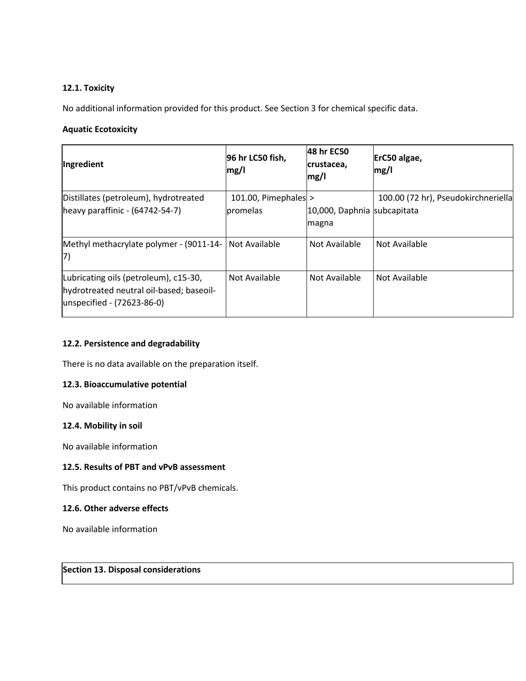# **12.1. Toxicity**

No additional information provided for this product. See Section 3 for chemical specific data.

# **Aquatic Ecotoxicity**

| Ingredient                                                                                                      | 96 hr LC50 fish,<br>mg/l           | 48 hr EC50<br>crustacea,<br>mg/l     | ErC50 algae,<br>mg/l                |
|-----------------------------------------------------------------------------------------------------------------|------------------------------------|--------------------------------------|-------------------------------------|
| Distillates (petroleum), hydrotreated<br>$[heavy paraffinic - (64742-54-7)]$                                    | 101.00, Pimephales $>$<br>promelas | 10,000, Daphnia subcapitata<br>magna | 100.00 (72 hr), Pseudokirchneriella |
| Methyl methacrylate polymer - (9011-14-<br>17)                                                                  | Not Available                      | Not Available                        | Not Available                       |
| Lubricating oils (petroleum), c15-30,<br>hydrotreated neutral oil-based; baseoil-<br>unspecified - (72623-86-0) | Not Available                      | Not Available                        | Not Available                       |

# **12.2. Persistence and degradability**

There is no data available on the preparation itself.

### **12.3. Bioaccumulative potential**

No available information

# **12.4. Mobility in soil**

No available information

### **12.5. Results of PBT and vPvB assessment**

This product contains no PBT/vPvB chemicals.

### **12.6. Other adverse effects**

No available information

# **Section 13. Disposal considerations**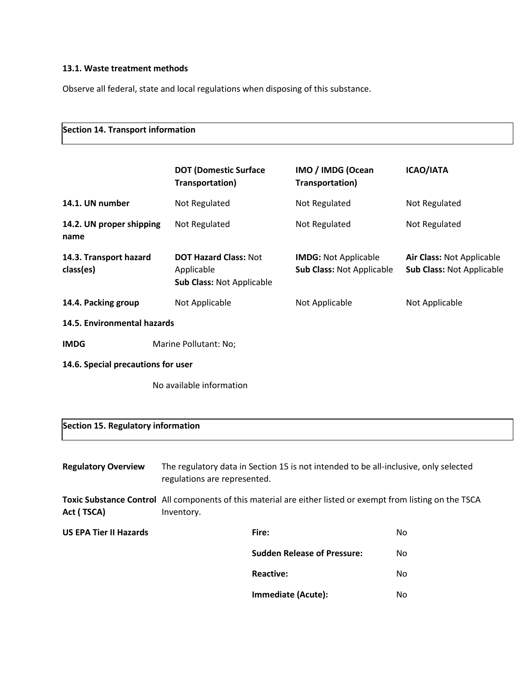# **13.1. Waste treatment methods**

Observe all federal, state and local regulations when disposing of this substance.

| Section 14. Transport information   |                                                                                                                            |                                                          |                                                        |  |  |  |  |  |
|-------------------------------------|----------------------------------------------------------------------------------------------------------------------------|----------------------------------------------------------|--------------------------------------------------------|--|--|--|--|--|
|                                     | <b>DOT (Domestic Surface</b><br>Transportation)                                                                            | IMO / IMDG (Ocean<br>Transportation)                     | <b>ICAO/IATA</b>                                       |  |  |  |  |  |
| 14.1. UN number                     | Not Regulated                                                                                                              | Not Regulated                                            | Not Regulated                                          |  |  |  |  |  |
| 14.2. UN proper shipping<br>name    | Not Regulated                                                                                                              | Not Regulated                                            | Not Regulated                                          |  |  |  |  |  |
| 14.3. Transport hazard<br>class(es) | <b>DOT Hazard Class: Not</b><br>Applicable<br><b>Sub Class: Not Applicable</b>                                             | <b>IMDG: Not Applicable</b><br>Sub Class: Not Applicable | Air Class: Not Applicable<br>Sub Class: Not Applicable |  |  |  |  |  |
| 14.4. Packing group                 | Not Applicable                                                                                                             | Not Applicable                                           | Not Applicable                                         |  |  |  |  |  |
| 14.5. Environmental hazards         |                                                                                                                            |                                                          |                                                        |  |  |  |  |  |
| <b>IMDG</b>                         | Marine Pollutant: No;                                                                                                      |                                                          |                                                        |  |  |  |  |  |
| 14.6. Special precautions for user  |                                                                                                                            |                                                          |                                                        |  |  |  |  |  |
|                                     | No available information                                                                                                   |                                                          |                                                        |  |  |  |  |  |
| Section 15. Regulatory information  |                                                                                                                            |                                                          |                                                        |  |  |  |  |  |
| <b>Regulatory Overview</b>          | The regulatory data in Section 15 is not intended to be all-inclusive, only selected<br>regulations are represented.       |                                                          |                                                        |  |  |  |  |  |
| Act (TSCA)                          | Toxic Substance Control All components of this material are either listed or exempt from listing on the TSCA<br>Inventory. |                                                          |                                                        |  |  |  |  |  |
| <b>US EPA Tier II Hazards</b>       | Fire:                                                                                                                      |                                                          | No                                                     |  |  |  |  |  |
|                                     |                                                                                                                            | <b>Sudden Release of Pressure:</b>                       | No                                                     |  |  |  |  |  |
|                                     |                                                                                                                            | <b>Reactive:</b>                                         | No                                                     |  |  |  |  |  |
|                                     |                                                                                                                            | Immediate (Acute):                                       | No                                                     |  |  |  |  |  |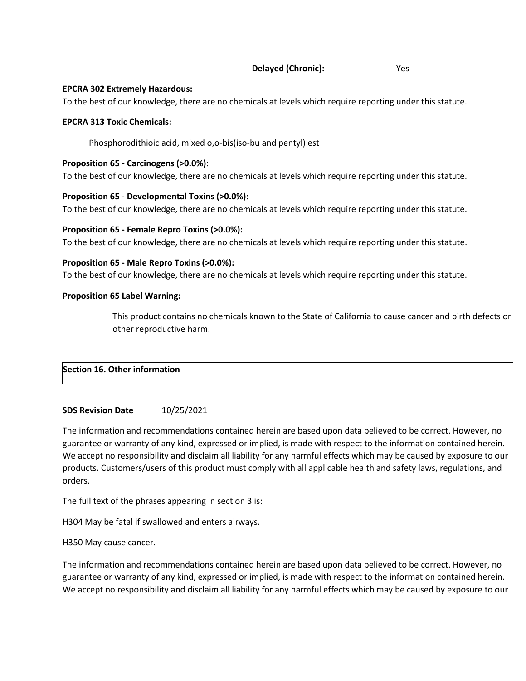#### **Delayed (Chronic):** Yes

#### **EPCRA 302 Extremely Hazardous:**

To the best of our knowledge, there are no chemicals at levels which require reporting under this statute.

#### **EPCRA 313 Toxic Chemicals:**

Phosphorodithioic acid, mixed o,o-bis(iso-bu and pentyl) est

### **Proposition 65 - Carcinogens (>0.0%):**

To the best of our knowledge, there are no chemicals at levels which require reporting under this statute.

#### **Proposition 65 - Developmental Toxins (>0.0%):**

To the best of our knowledge, there are no chemicals at levels which require reporting under this statute.

#### **Proposition 65 - Female Repro Toxins (>0.0%):**

To the best of our knowledge, there are no chemicals at levels which require reporting under this statute.

#### **Proposition 65 - Male Repro Toxins (>0.0%):**

To the best of our knowledge, there are no chemicals at levels which require reporting under this statute.

#### **Proposition 65 Label Warning:**

This product contains no chemicals known to the State of California to cause cancer and birth defects or other reproductive harm.

# **Section 16. Other information**

### **SDS Revision Date** 10/25/2021

The information and recommendations contained herein are based upon data believed to be correct. However, no guarantee or warranty of any kind, expressed or implied, is made with respect to the information contained herein. We accept no responsibility and disclaim all liability for any harmful effects which may be caused by exposure to our products. Customers/users of this product must comply with all applicable health and safety laws, regulations, and orders.

The full text of the phrases appearing in section 3 is:

H304 May be fatal if swallowed and enters airways.

#### H350 May cause cancer.

The information and recommendations contained herein are based upon data believed to be correct. However, no guarantee or warranty of any kind, expressed or implied, is made with respect to the information contained herein. We accept no responsibility and disclaim all liability for any harmful effects which may be caused by exposure to our